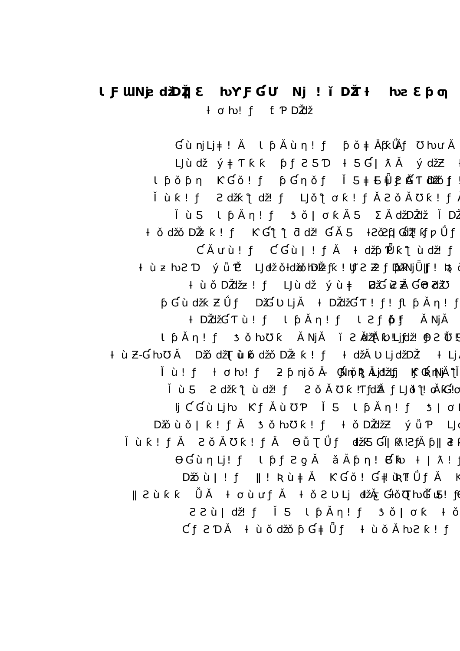| a a da da da da da da sensa sensa da sensa da sensa da sensa da sensa da da da da da sensa da sensa da sensa d<br>$\tilde{O}$ and $\tilde{O}$ and $\tilde{O}$ and $\tilde{O}$ and $\tilde{O}$ and $\tilde{O}$ and $\tilde{O}$ and $\tilde{O}$ and $\tilde{O}$                                                                            |  |
|------------------------------------------------------------------------------------------------------------------------------------------------------------------------------------------------------------------------------------------------------------------------------------------------------------------------------------------|--|
|                                                                                                                                                                                                                                                                                                                                          |  |
|                                                                                                                                                                                                                                                                                                                                          |  |
|                                                                                                                                                                                                                                                                                                                                          |  |
| $\tilde{D}$ , and the contract of $\tilde{D}$ and the contract of $D$ and $D$ and $D$ and $D$ and $D$                                                                                                                                                                                                                                    |  |
| $\mathbf{p}$ is a set of the contract of the contract of the contract $\mathbf{p}$ . The contract of the contract of the contract of the contract of the contract of the contract of the contract of the contract of the contract of                                                                                                     |  |
| $\tilde{O}$ and $\tilde{O}$ and $\tilde{O}$ and $\tilde{O}$ and $\tilde{O}$ and $\tilde{O}$ and $\tilde{O}$                                                                                                                                                                                                                              |  |
| where the contract $\tilde{O}$ and $\tilde{O}$ are $\tilde{O}$ and $\tilde{O}$ and $\tilde{O}$ are $\tilde{O}$ and $\tilde{O}$ and $\tilde{O}$ are $\tilde{O}$ and $\tilde{O}$ and $\tilde{O}$ are $\tilde{O}$ and $\tilde{O}$ and $\tilde{O}$ are $\tilde{O}$ and $\tilde{O}$                                                           |  |
| $\tilde{O}$ and $\tilde{O}$ and $\tilde{O}$ and $\tilde{O}$ and $\tilde{O}$ and $\tilde{O}$ and $\tilde{O}$ and $\tilde{O}$ and $\tilde{O}$ and $\tilde{O}$ and $\tilde{O}$ and $\tilde{O}$ and $\tilde{O}$ and $\tilde{O}$ and $\tilde{O}$ and $\tilde{O}$ and $\tilde{O}$ and                                                          |  |
| . The contract of the contract $\tilde{\mathbf{O}}$ is a contract of the contract of the contract of the contract of the contract of the contract of the contract of the contract of the contract of the contract of the contract of t                                                                                                   |  |
| . The contract of the contract $\sum_{i=1}^n \frac{1}{i} \sum_{j=1}^n \frac{1}{j} \sum_{j=1}^n \frac{1}{j} \sum_{j=1}^n \frac{1}{j} \sum_{j=1}^n \frac{1}{j} \sum_{j=1}^n \frac{1}{j} \sum_{j=1}^n \frac{1}{j} \sum_{j=1}^n \frac{1}{j} \sum_{j=1}^n \frac{1}{j} \sum_{j=1}^n \frac{1}{j} \sum_{j=1}^n \frac{1}{j} \sum_{j=1}^n \frac{1$ |  |
| a a da da da da da da da sensa sensa na sensa da sensa da sensa da sensa da sensa da sensa da sensa da sensa d                                                                                                                                                                                                                           |  |
| where $\mathbf{A}$ is the contract of $\mathbf{A}$ is the contract of $\mathbf{A}$ is the contract of $\mathbf{A}$                                                                                                                                                                                                                       |  |
| . The contract of $\mathbf{C}$ is the contract of $\mathbf{C}$ is the contract of $\mathbf{C}$                                                                                                                                                                                                                                           |  |
| $\tilde{O}$ and $\tilde{O}$ and $\tilde{O}$ and $\tilde{O}$ and $\tilde{O}$ and $\tilde{O}$ and $\tilde{O}$                                                                                                                                                                                                                              |  |
| $\tilde{O}$ and $\tilde{O}$ and $\tilde{O}$ and $\tilde{O}$ and $\tilde{O}$ and $\tilde{O}$ and $\tilde{O}$ and $\tilde{O}$ and $\tilde{O}$ and $\tilde{O}$ and $\tilde{O}$ and $\tilde{O}$ and $\tilde{O}$ and $\tilde{O}$ and $\tilde{O}$ and $\tilde{O}$ and $\tilde{O}$ and                                                          |  |
| $\tilde{O}$ and $\tilde{O}$ and $\tilde{O}$ and $\tilde{O}$ and $\tilde{O}$ and $\tilde{O}$ and $\tilde{O}$ and $\tilde{O}$ and $\tilde{O}$                                                                                                                                                                                              |  |
| . The contract $\tilde{\mathbf{O}}$ is a contract of the contract of the contract of the contract of the contract of the contract of the contract of the contract of the contract of the contract of the contract of the contract of t                                                                                                   |  |
| $\mathcal{L}_\text{c}$ and the state of the state of the state of the state of the state of the state of the state of the state of the state of the state of the state of the state of the state of the state of the state of the stat<br>$\mathcal{L}$ , and a set of the set of the set of $\mathcal{L}$                               |  |
| . $\tilde{O}$ .<br>$\tilde{O}$ and $\tilde{O}$ and $\tilde{O}$ and $\tilde{O}$ and $\tilde{O}$ and $\tilde{O}$ and $\tilde{O}$ and $\tilde{O}$ and $\tilde{O}$ and $\tilde{O}$ and $\tilde{O}$ and $\tilde{O}$ and $\tilde{O}$ and $\tilde{O}$ and $\tilde{O}$ and $\tilde{O}$ and $\tilde{O}$ and                                       |  |
| $\tilde{O}$ and $\tilde{O}$ and $\tilde{O}$ and $\tilde{O}$ and $\tilde{O}$ and $\tilde{O}$ and $\tilde{O}$ and $\tilde{O}$ and $\tilde{O}$ and $\tilde{O}$ and $\tilde{O}$ and $\tilde{O}$ and $\tilde{O}$ and $\tilde{O}$ and $\tilde{O}$ and $\tilde{O}$ and $\tilde{O}$ and                                                          |  |
| the control of the control of the control of the control of the control of the control of<br>Õ                                                                                                                                                                                                                                           |  |
| a construction of the construction of the construction of the construction of the construction of the construction of the construction of the construction of the construction of the construction of the construction of the<br>Õ<br>Õ                                                                                                  |  |